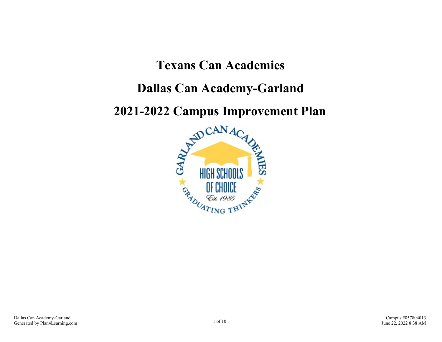# **Texans Can Academies**

# **Dallas Can Academy-Garland**

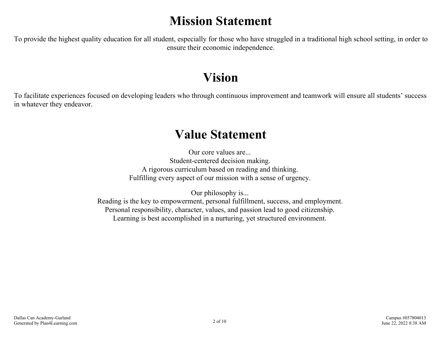# **Mission Statement**

To provide the highest quality education for all student, especially for those who have struggled in a traditional high school setting, in order to ensure their economic independence.

# **Vision**

To facilitate experiences focused on developing leaders who through continuous improvement and teamwork will ensure all students' success in whatever they endeavor.

# **Value Statement**

Our core values are... Student-centered decision making. A rigorous curriculum based on reading and thinking. Fulfilling every aspect of our mission with a sense of urgency.

Our philosophy is... Reading is the key to empowerment, personal fulfillment, success, and employment. Personal responsibility, character, values, and passion lead to good citizenship. Learning is best accomplished in a nurturing, yet structured environment.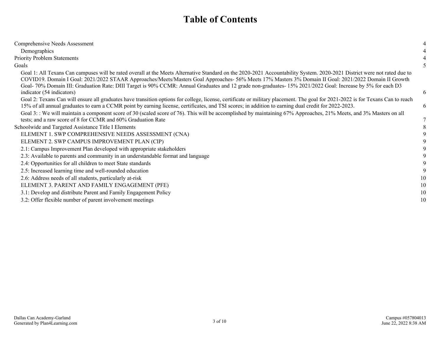# **Table of Contents**

| Comprehensive Needs Assessment                                                                                                                                                                                                                                                                                                                                                                                                                                                                   |    |
|--------------------------------------------------------------------------------------------------------------------------------------------------------------------------------------------------------------------------------------------------------------------------------------------------------------------------------------------------------------------------------------------------------------------------------------------------------------------------------------------------|----|
| Demographics                                                                                                                                                                                                                                                                                                                                                                                                                                                                                     |    |
| <b>Priority Problem Statements</b>                                                                                                                                                                                                                                                                                                                                                                                                                                                               |    |
| Goals                                                                                                                                                                                                                                                                                                                                                                                                                                                                                            |    |
| Goal 1: All Texans Can campuses will be rated overall at the Meets Alternative Standard on the 2020-2021 Accountability System. 2020-2021 District were not rated due to<br>COVID19. Domain I Goal: 2021/2022 STAAR Approaches/Meets/Masters Goal Approaches- 56% Meets 17% Masters 3% Domain II Goal: 2021/2022 Domain II Growth<br>Goal- 70% Domain III: Graduation Rate: DIII Target is 90% CCMR: Annual Graduates and 12 grade non-graduates- 15% 2021/2022 Goal: Increase by 5% for each D3 |    |
| indicator (54 indicators)                                                                                                                                                                                                                                                                                                                                                                                                                                                                        | 6  |
| Goal 2: Texans Can will ensure all graduates have transition options for college, license, certificate or military placement. The goal for 2021-2022 is for Texans Can to reach<br>15% of all annual graduates to earn a CCMR point by earning license, certificates, and TSI scores; in addition to earning dual credit for 2022-2023.                                                                                                                                                          | 6  |
| Goal 3:: We will maintain a component score of 30 (scaled score of 76). This will be accomplished by maintaining 67% Approaches, 21% Meets, and 3% Masters on all                                                                                                                                                                                                                                                                                                                                |    |
| tests; and a raw score of 8 for CCMR and 60% Graduation Rate                                                                                                                                                                                                                                                                                                                                                                                                                                     |    |
| Schoolwide and Targeted Assistance Title I Elements                                                                                                                                                                                                                                                                                                                                                                                                                                              |    |
| ELEMENT 1. SWP COMPREHENSIVE NEEDS ASSESSMENT (CNA)                                                                                                                                                                                                                                                                                                                                                                                                                                              |    |
| ELEMENT 2. SWP CAMPUS IMPROVEMENT PLAN (CIP)                                                                                                                                                                                                                                                                                                                                                                                                                                                     |    |
| 2.1: Campus Improvement Plan developed with appropriate stakeholders                                                                                                                                                                                                                                                                                                                                                                                                                             |    |
| 2.3: Available to parents and community in an understandable format and language                                                                                                                                                                                                                                                                                                                                                                                                                 |    |
| 2.4: Opportunities for all children to meet State standards                                                                                                                                                                                                                                                                                                                                                                                                                                      |    |
| 2.5: Increased learning time and well-rounded education                                                                                                                                                                                                                                                                                                                                                                                                                                          |    |
| 2.6: Address needs of all students, particularly at-risk                                                                                                                                                                                                                                                                                                                                                                                                                                         | 10 |
| ELEMENT 3. PARENT AND FAMILY ENGAGEMENT (PFE)                                                                                                                                                                                                                                                                                                                                                                                                                                                    | 10 |
| 3.1: Develop and distribute Parent and Family Engagement Policy                                                                                                                                                                                                                                                                                                                                                                                                                                  | 10 |
| 3.2: Offer flexible number of parent involvement meetings                                                                                                                                                                                                                                                                                                                                                                                                                                        | 10 |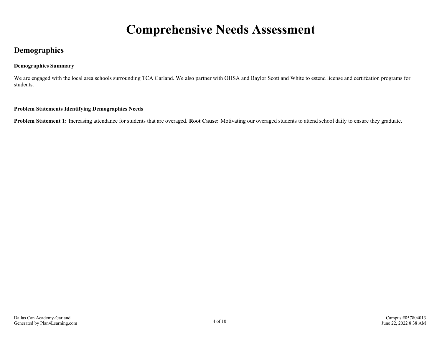# **Comprehensive Needs Assessment**

## <span id="page-3-0"></span>**Demographics**

#### **Demographics Summary**

We are engaged with the local area schools surrounding TCA Garland. We also partner with OHSA and Baylor Scott and White to estend license and certifcation programs for students.

#### **Problem Statements Identifying Demographics Needs**

**Problem Statement 1:** Increasing attendance for students that are overaged. **Root Cause:** Motivating our overaged students to attend school daily to ensure they graduate.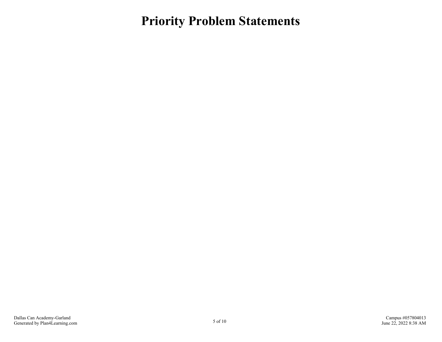<span id="page-4-0"></span>**Priority Problem Statements**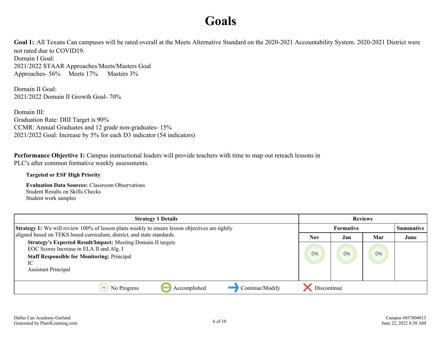# **Goals**

<span id="page-5-0"></span>Goal 1: All Texans Can campuses will be rated overall at the Meets Alternative Standard on the 2020-2021 Accountability System. 2020-2021 District were not rated due to COVID19. Domain I Goal: 2021/2022 STAAR Approaches/Meets/Masters Goal

Approaches- 56% Meets 17% Masters 3%

Domain II Goal: 2021/2022 Domain II Growth Goal- 70%

Domain III: Graduation Rate: DIII Target is 90% CCMR: Annual Graduates and 12 grade non-graduates- 15% 2021/2022 Goal: Increase by 5% for each D3 indicator (54 indicators)

# **Performance Objective 1:** Campus instructional leaders will provide teachers with time to map out reteach lessons in

PLC's after common formative weekly assessments.

#### **Targeted or ESF High Priority**

**Evaluation Data Sources:** Classroom Observations Student Results on Skills Checks Student work samples

| <b>Strategy 1 Details</b>                                                                                                                                                                                 | <b>Reviews</b> |                  |     |      |
|-----------------------------------------------------------------------------------------------------------------------------------------------------------------------------------------------------------|----------------|------------------|-----|------|
| Strategy 1: We will review 100% of lesson plans weekly to ensure lesson objectives are tightly                                                                                                            |                | <b>Formative</b> |     |      |
| aligned based on TEKS based curriculum, district, and state standards.                                                                                                                                    | Nov            | Jan              | Mar | June |
| <b>Strategy's Expected Result/Impact: Meeting Domain II targets</b><br>EOC Scores Increase in ELA II and Alg. I<br><b>Staff Responsible for Monitoring: Principal</b><br>IС<br><b>Assistant Principal</b> | 0%             | O <sub>96</sub>  | 0%  |      |
| Continue/Modify<br>Accomplished<br>No Progress                                                                                                                                                            | Discontinue    |                  |     |      |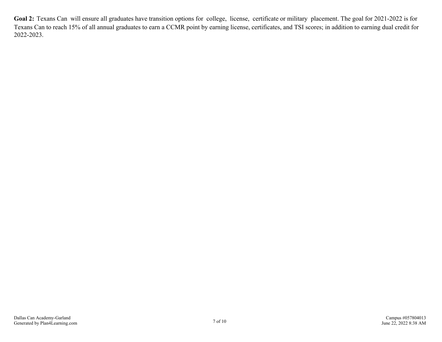<span id="page-6-0"></span>Goal 2: Texans Can will ensure all graduates have transition options for college, license, certificate or military placement. The goal for 2021-2022 is for Texans Can to reach 15% of all annual graduates to earn a CCMR point by earning license, certificates, and TSI scores; in addition to earning dual credit for 2022-2023.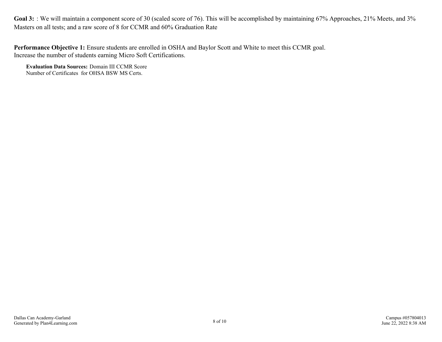<span id="page-7-0"></span>Goal 3: : We will maintain a component score of 30 (scaled score of 76). This will be accomplished by maintaining 67% Approaches, 21% Meets, and 3% Masters on all tests; and a raw score of 8 for CCMR and 60% Graduation Rate

**Performance Objective 1:** Ensure students are enrolled in OSHA and Baylor Scott and White to meet this CCMR goal. Increase the number of students earning Micro Soft Certifications.

**Evaluation Data Sources:** Domain III CCMR Score Number of Certificates for OHSA BSW MS Certs.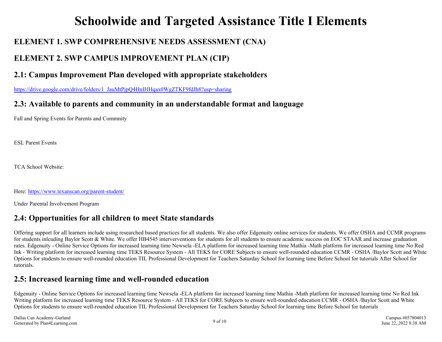# **Schoolwide and Targeted Assistance Title I Elements**

# <span id="page-8-0"></span>**ELEMENT 1. SWP COMPREHENSIVE NEEDS ASSESSMENT (CNA)**

# **ELEMENT 2. SWP CAMPUS IMPROVEMENT PLAN (CIP)**

## **2.1: Campus Improvement Plan developed with appropriate stakeholders**

[https://drive.google.com/drive/folders/1\\_JauMtPjpQ4HnIHHqax0WgZTKF9fdJh8?usp=sharing](https://drive.google.com/drive/folders/1_JauMtPjpQ4HnIHHqax0WgZTKF9fdJh8?usp=sharing)

## **2.3: Available to parents and community in an understandable format and language**

Fall and Spring Events for Parents and Commnity

ESL Parent Events

TCA School Website:

Here:<https://www.texanscan.org/parent-student/>

Under Parental Involvement Program

## **2.4: Opportunities for all children to meet State standards**

Offering support for all learners include using researched based practices for all students. We also offer Edgenuity online services for students. We offer OSHA and CCMR programs for students inlcuding Baylor Scott & White. We offer HB4545 interverventions for students for all students to ensure academic success on EOC STAAR and increase graduation rates. Edgenuity - Online Service Options for increased learning time Newsela -ELA platform for increased learning time Mathia -Math platform for increased learning time No Red Ink - Writing platform for increased learning time TEKS Resource System - All TEKS for CORE Subjects to ensure well-rounded education CCMR - OSHA /Baylor Scott and White Options for students to ensure well-rounded education TIL Professional Development for Teachers Saturday School for learning time Before School for tutorials After School for tutorials.

## **2.5: Increased learning time and well-rounded education**

Edgenuity - Online Service Options for increased learning time Newsela -ELA platform for increased learning time Mathia -Math platform for increased learning time No Red Ink Writing platform for increased learning time TEKS Resource System - All TEKS for CORE Subjects to ensure well-rounded education CCMR - OSHA /Baylor Scott and White Options for students to ensure well-rounded education TIL Professional Development for Teachers Saturday School for learning time Before School for tutorials